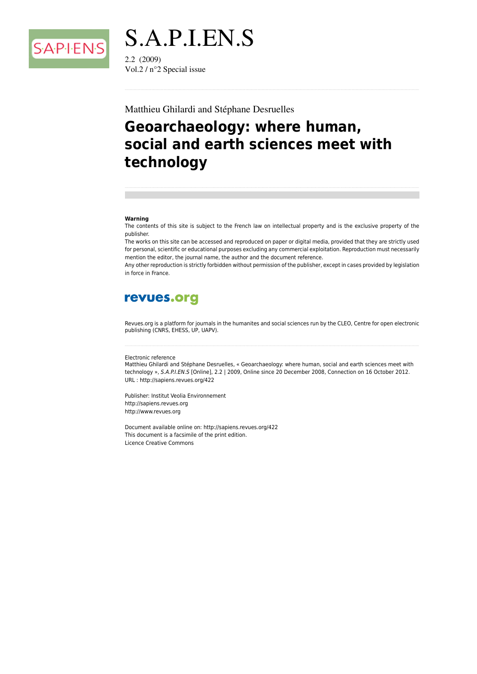

S.A.P.I.EN.S  $2.2(2009)$ Vol.2 /  $n^{\circ}$ 2 Special issue

#### Matthieu Ghilardi and Stéphane Desruelles

## Geoarchaeology: where human, social and earth sciences meet with technology

#### Warning

The contents of this site is subject to the French law on intellectual property and is the exclusive property of the publisher.

The works on this site can be accessed and reproduced on paper or digital media, provided that they are strictly used for personal, scientific or educational purposes excluding any commercial exploitation. Reproduction must necessarily mention the editor, the journal name, the author and the document reference.

Any other reproduction is strictly forbidden without permission of the publisher, except in cases provided by legislation in force in France

## revues.org

Revues.org is a platform for journals in the humanites and social sciences run by the CLEO, Centre for open electronic publishing (CNRS, EHESS, UP, UAPV).

#### Electronic reference

Matthieu Ghilardi and Stéphane Desruelles, « Geoarchaeology: where human, social and earth sciences meet with technology », S.A.P.I.EN.S [Online], 2.2 | 2009, Online since 20 December 2008, Connection on 16 October 2012. URL: http://sapiens.revues.org/422

Publisher: Institut Veolia Environnement http://sapiens.revues.org http://www.revues.org

Document available online on: http://sapiens.revues.org/422 This document is a facsimile of the print edition. **Licence Creative Commons**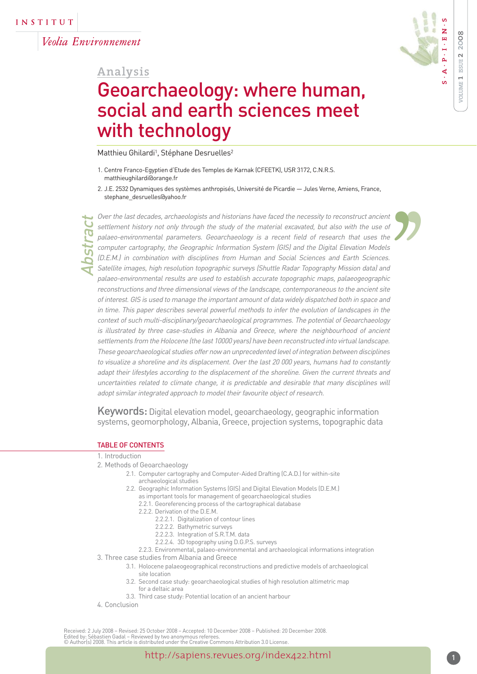Veolia Environnement

Abstract

## **Analysis**

# Geoarchaeology: where human, social and earth sciences meet with technology

Matthieu Ghilardi<sup>1</sup>, Stéphane Desruelles<sup>2</sup>

- 1. Centre Franco-Egyptien d'Etude des Temples de Karnak (CFEETK), USR 3172, C.N.R.S. matthieughilardi@orange.fr
- 2. J.E. 2532 Dynamiques des systèmes anthropisés, Université de Picardie Jules Verne, Amiens, France, stephane\_desruelles@yahoo.fr

Over the last decades, archaeologists and historians have faced the necessity to reconstruct ancient settlement history not only through the study of the material excavated, but also with the use of palaeo-environmental parameters. Geoarchaeology is a recent field of research that uses the computer cartography, the Geographic Information System (GIS) and the Digital Elevation Models (D.E.M.) in combination with disciplines from Human and Social Sciences and Earth Sciences. Satellite images, high resolution topographic surveys (Shuttle Radar Topography Mission data) and palaeo-environmental results are used to establish accurate topographic maps, palaeogeographic reconstructions and three dimensional views of the landscape, contemporaneous to the ancient site of interest. GIS is used to manage the important amount of data widely dispatched both in space and in time. This paper describes several powerful methods to infer the evolution of landscapes in the context of such multi-disciplinary/geoarchaeological programmes. The potential of Geoarchaeology is illustrated by three case-studies in Albania and Greece, where the neighbourhood of ancient settlements from the Holocene (the last 10000 years) have been reconstructed into virtual landscape. These geoarchaeological studies offer now an unprecedented level of integration between disciplines to visualize a shoreline and its displacement. Over the last 20 000 years, humans had to constantly adapt their lifestyles according to the displacement of the shoreline. Given the current threats and uncertainties related to climate change, it is predictable and desirable that many disciplines will adopt similar integrated approach to model their favourite object of research.

Keywords: Digital elevation model, geoarchaeology, geographic information systems, geomorphology, Albania, Greece, projection systems, topographic data

#### TABLE OF CONTENTS

#### 1. Introduction

- 2. Methods of Geoarchaeology
	- 2.1. Computer cartography and Computer-Aided Drafting (C.A.D.) for within-site archaeological studies
		- 2.2. Geographic Information Systems (GIS) and Digital Elevation Models (D.E.M.) as important tools for management of geoarchaeological studies
			- 2.2.1. Georeferencing process of the cartographical database
			- 2.2.2. Derivation of the D.E.M.
				- 2.2.2.1. Digitalization of contour lines
				- 2.2.2.2. Bathymetric surveys
				- 2.2.2.3. Integration of S.R.T.M. data
				- 2.2.2.4. 3D topography using D.G.P.S. surveys
	- 2.2.3. Environmental, palaeo-environmental and archaeological informations integration
- 3. Three case studies from Albania and Greece
	- 3.1. Holocene palaeogeographical reconstructions and predictive models of archaeological site location
	- 3.2. Second case study: geoarchaeological studies of high resolution altimetric map for a deltaic area
	- 3.3. Third case study: Potential location of an ancient harbour
- 4. Conclusion

Received: 2 July 2008 – Revised: 25 October 2008 – Accepted: 10 December 2008 – Published: 20 December 2008. Edited by: Sébastien Gadal – Reviewed by two anonymous referees. © Author(s) 2008. This article is distributed under the Creative Commons Attribution 3.0 License.

)<br>)

 $\begin{array}{c}\n\downarrow t \\
\downarrow t \\
\downarrow s \\
\downarrow t \\
\downarrow t \\
\downarrow c\n\end{array}$ 

**VOLUME 1 ISSUE 2 20**

**ZOLUME 1 ISSUE 2** 

**S**

 $\Delta$ 

**. A . P . I . E N . S**

 $P \cdot I \cdot E$ 

z

**0 8**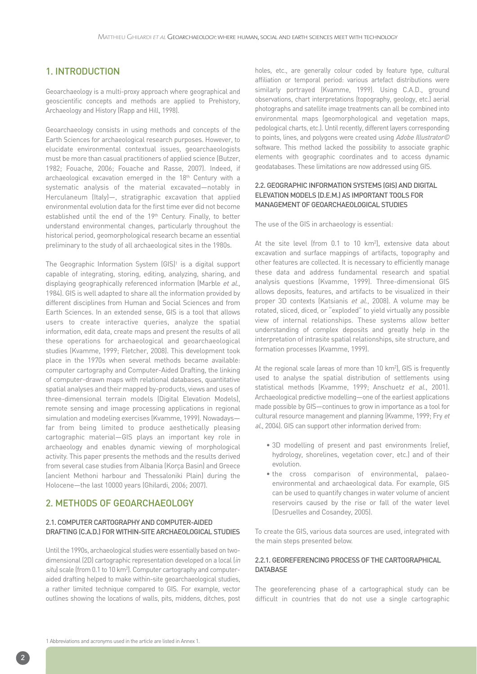## 1. INTRODUCTION

Geoarchaeology is a multi-proxy approach where geographical and geoscientific concepts and methods are applied to Prehistory, Archaeology and History (Rapp and Hill, 1998).

Geoarchaeology consists in using methods and concepts of the Earth Sciences for archaeological research purposes. However, to elucidate environmental contextual issues, geoarchaeologists must be more than casual practitioners of applied science (Butzer, 1982; Fouache, 2006; Fouache and Rasse, 2007). Indeed, if archaeological excavation emerged in the 18<sup>th</sup> Century with a systematic analysis of the material excavated—notably in Herculaneum (Italy)—, stratigraphic excavation that applied environmental evolution data for the first time ever did not become established until the end of the 19th Century. Finally, to better understand environmental changes, particularly throughout the historical period, geomorphological research became an essential preliminary to the study of all archaeological sites in the 1980s.

The Geographic Information System (GIS)<sup>1</sup> is a digital support capable of integrating, storing, editing, analyzing, sharing, and displaying geographically referenced information (Marble et al., 1984). GIS is well adapted to share all the information provided by different disciplines from Human and Social Sciences and from Earth Sciences. In an extended sense, GIS is a tool that allows users to create interactive queries, analyze the spatial information, edit data, create maps and present the results of all these operations for archaeological and geoarchaeological studies (Kvamme, 1999; Fletcher, 2008). This development took place in the 1970s when several methods became available: computer cartography and Computer-Aided Drafting, the linking of computer-drawn maps with relational databases, quantitative spatial analyses and their mapped by-products, views and uses of three-dimensional terrain models (Digital Elevation Models), remote sensing and image processing applications in regional simulation and modeling exercises (Kvamme, 1999). Nowadays far from being limited to produce aesthetically pleasing cartographic material—GIS plays an important key role in archaeology and enables dynamic viewing of morphological activity. This paper presents the methods and the results derived from several case studies from Albania (Korça Basin) and Greece (ancient Methoni harbour and Thessaloniki Plain) during the Holocene—the last 10000 years (Ghilardi, 2006; 2007).

#### 2. METHODS OF GEOARCHAEOLOGY

#### 2.1. COMPUTER CARTOGRAPHY AND COMPUTER-AIDED DRAFTING (C.A.D.) FOR WITHIN-SITE ARCHAEOLOGICAL STUDIES

Until the 1990s, archaeological studies were essentially based on twodimensional (2D) cartographic representation developed on a local (in situ) scale (from 0.1 to 10 km<sup>2</sup>). Computer cartography and computeraided drafting helped to make within-site geoarchaeological studies, a rather limited technique compared to GIS. For example, vector outlines showing the locations of walls, pits, middens, ditches, post holes, etc., are generally colour coded by feature type, cultural affiliation or temporal period: various artefact distributions were similarly portrayed (Kvamme, 1999). Using C.A.D., ground observations, chart interpretations (topography, geology, etc.) aerial photographs and satellite image treatments can all be combined into environmental maps (geomorphological and vegetation maps, pedological charts, etc.). Until recently, different layers corresponding to points, lines, and polygons were created using Adobe Illustrator© software. This method lacked the possibility to associate graphic elements with geographic coordinates and to access dynamic geodatabases. These limitations are now addressed using GIS.

#### 2.2. GEOGRAPHIC INFORMATION SYSTEMS (GIS) AND DIGITAL ELEVATION MODELS (D.E.M.) AS IMPORTANT TOOLS FOR MANAGEMENT OF GEOARCHAEOLOGICAL STUDIES

The use of the GIS in archaeology is essential:

At the site level (from 0.1 to 10 km2 ), extensive data about excavation and surface mappings of artifacts, topography and other features are collected. It is necessary to efficiently manage these data and address fundamental research and spatial analysis questions (Kvamme, 1999). Three-dimensional GIS allows deposits, features, and artifacts to be visualized in their proper 3D contexts (Katsianis et al., 2008). A volume may be rotated, sliced, diced, or "exploded" to yield virtually any possible view of internal relationships. These systems allow better understanding of complex deposits and greatly help in the interpretation of intrasite spatial relationships, site structure, and formation processes (Kvamme, 1999).

At the regional scale (areas of more than 10 km2 ), GIS is frequently used to analyse the spatial distribution of settlements using statistical methods (Kvamme, 1999; Anschuetz et al., 2001). Archaeological predictive modelling—one of the earliest applications made possible by GIS—continues to grow in importance as a tool for cultural resource management and planning (Kvamme, 1999; Fry et al., 2004). GIS can support other information derived from:

- 3D modelling of present and past environments (relief, hydrology, shorelines, vegetation cover, etc.) and of their evolution.
- the cross comparison of environmental, palaeo environmental and archaeological data. For example, GIS can be used to quantify changes in water volume of ancient reservoirs caused by the rise or fall of the water level (Desruelles and Cosandey, 2005).

To create the GIS, various data sources are used, integrated with the main steps presented below.

#### 2.2.1. GEOREFERENCING PROCESS OF THE CARTOGRAPHICAL **DATABASE**

The georeferencing phase of a cartographical study can be difficult in countries that do not use a single cartographic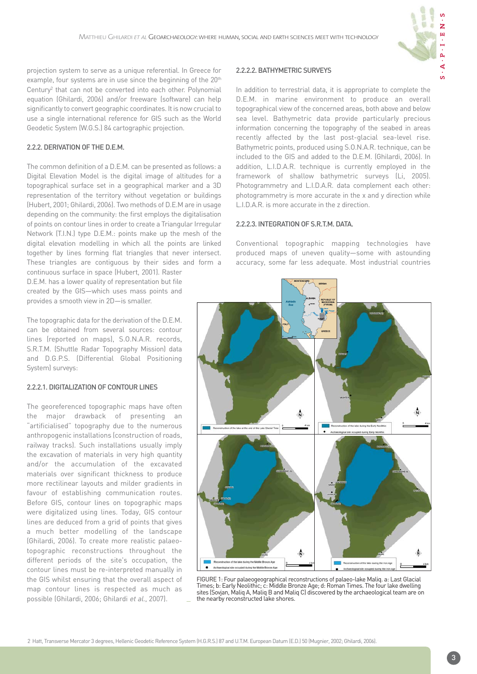

projection system to serve as a unique referential. In Greece for example, four systems are in use since the beginning of the 20<sup>th</sup> Century<sup>2</sup> that can not be converted into each other. Polynomial equation (Ghilardi, 2006) and/or freeware (software) can help significantly to convert geographic coordinates. It is now crucial to use a single international reference for GIS such as the World Geodetic System (W.G.S.) 84 cartographic projection.

#### 2.2.2. DERIVATION OF THE D.E.M.

The common definition of a D.E.M. can be presented as follows: a Digital Elevation Model is the digital image of altitudes for a topographical surface set in a geographical marker and a 3D representation of the territory without vegetation or buildings (Hubert, 2001; Ghilardi, 2006). Two methods of D.E.M are in usage depending on the community: the first employs the digitalisation of points on contour lines in order to create a Triangular Irregular Network (T.I.N.) type D.E.M.: points make up the mesh of the digital elevation modelling in which all the points are linked together by lines forming flat triangles that never intersect. These triangles are contiguous by their sides and form a

continuous surface in space (Hubert, 2001). Raster D.E.M. has a lower quality of representation but file created by the GIS—which uses mass points and provides a smooth view in 2D—is smaller.

The topographic data for the derivation of the D.E.M. can be obtained from several sources: contour lines (reported on maps), S.O.N.A.R. records, S.R.T.M. (Shuttle Radar Topography Mission) data and D.G.P.S. (Differential Global Positioning System) surveys:

#### 2.2.2.1. DIGITALIZATION OF CONTOUR LINES

The georeferenced topographic maps have often the major drawback of presenting an "artificialised" topography due to the numerous anthropogenic installations (construction of roads, railway tracks). Such installations usually imply the excavation of materials in very high quantity and/or the accumulation of the excavated materials over significant thickness to produce more rectilinear layouts and milder gradients in favour of establishing communication routes. Before GIS, contour lines on topographic maps were digitalized using lines. Today, GIS contour lines are deduced from a grid of points that gives a much better modelling of the landscape (Ghilardi, 2006). To create more realistic palaeotopographic reconstructions throughout the different periods of the site's occupation, the contour lines must be re-interpreted manually in the GIS whilst ensuring that the overall aspect of map contour lines is respected as much as possible (Ghilardi, 2006; Ghilardi et al., 2007).

#### 2.2.2.2. BATHYMETRIC SURVEYS

In addition to terrestrial data, it is appropriate to complete the D.E.M. in marine environment to produce an overall topographical view of the concerned areas, both above and below sea level. Bathymetric data provide particularly precious information concerning the topography of the seabed in areas recently affected by the last post-glacial sea-level rise. Bathymetric points, produced using S.O.N.A.R. technique, can be included to the GIS and added to the D.E.M. (Ghilardi, 2006). In addition, L.I.D.A.R. technique is currently employed in the framework of shallow bathymetric surveys (Li, 2005). Photogrammetry and L.I.D.A.R. data complement each other: photogrammetry is more accurate in the x and y direction while L.I.D.A.R. is more accurate in the z direction.

#### 2.2.2.3. INTEGRATION OF S.R.T.M. DATA.

Conventional topographic mapping technologies have produced maps of uneven quality—some with astounding accuracy, some far less adequate. Most industrial countries



FIGURE 1: Four palaeogeographical reconstructions of palaeo-lake Maliq. a: Last Glacial Times; b: Early Neolithic; c: Middle Bronze Age; d: Roman Times. The four lake dwelling sites (Sovjan, Maliq A, Maliq B and Maliq C) discovered by the archaeological team are on the nearby reconstructed lake shores.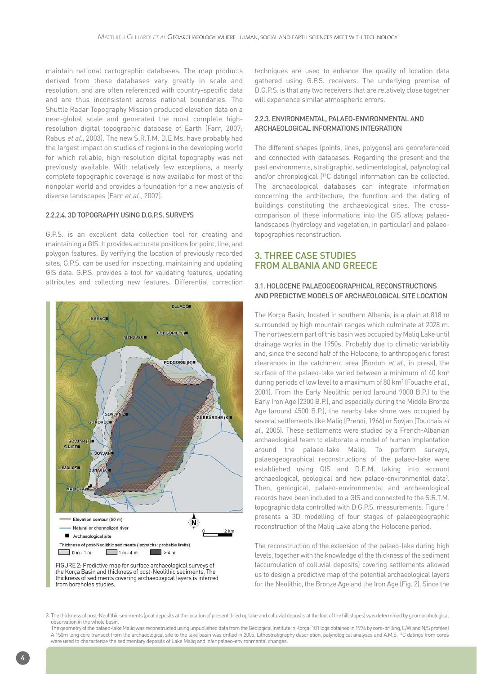maintain national cartographic databases. The map products derived from these databases vary greatly in scale and resolution, and are often referenced with country-specific data and are thus inconsistent across national boundaries. The Shuttle Radar Topography Mission produced elevation data on a near-global scale and generated the most complete highresolution digital topographic database of Earth (Farr, 2007; Rabus et al., 2003). The new S.R.T.M. D.E.Ms. have probably had the largest impact on studies of regions in the developing world for which reliable, high-resolution digital topography was not previously available. With relatively few exceptions, a nearly complete topographic coverage is now available for most of the nonpolar world and provides a foundation for a new analysis of diverse landscapes (Farr et al., 2007).

#### 2.2.2.4. 3D TOPOGRAPHY USING D.G.P.S. SURVEYS

G.P.S. is an excellent data collection tool for creating and maintaining a GIS. It provides accurate positions for point, line, and polygon features. By verifying the location of previously recorded sites, G.P.S. can be used for inspecting, maintaining and updating GIS data. G.P.S. provides a tool for validating features, updating attributes and collecting new features. Differential correction



the Korça Basin and thickness of post-Neolithic sediments. The thickness of sediments covering archaeological layers is inferred from boreholes studies.

techniques are used to enhance the quality of location data gathered using G.P.S. receivers. The underlying premise of D.G.P.S. is that any two receivers that are relatively close together will experience similar atmospheric errors.

#### 2.2.3. ENVIRONMENTAL, PALAEO-ENVIRONMENTAL AND ARCHAEOLOGICAL INFORMATIONS INTEGRATION

The different shapes (points, lines, polygons) are georeferenced and connected with databases. Regarding the present and the past environments, stratigraphic, sedimentological, palynological and/or chronological (14C datings) information can be collected. The archaeological databases can integrate information concerning the architecture, the function and the dating of buildings constituting the archaeological sites. The crosscomparison of these informations into the GIS allows palaeolandscapes (hydrology and vegetation, in particular) and palaeotopographies reconstruction.

#### 3. THREE CASE STUDIES FROM ALBANIA AND GREECE

#### 3.1. HOLOCENE PALAEOGEOGRAPHICAL RECONSTRUCTIONS AND PREDICTIVE MODELS OF ARCHAEOLOGICAL SITE LOCATION

The Korça Basin, located in southern Albania, is a plain at 818 m surrounded by high mountain ranges which culminate at 2028 m. The nortwestern part of this basin was occupied by Maliq Lake until drainage works in the 1950s. Probably due to climatic variability and, since the second half of the Holocene, to anthropogenic forest clearances in the catchment area (Bordon et al., in press), the surface of the palaeo-lake varied between a minimum of 40 km<sup>2</sup> during periods of low level to a maximum of 80 km<sup>2</sup> (Fouache et al., 2001). From the Early Neolithic period (around 9000 B.P.) to the Early Iron Age (2300 B.P.), and especially during the Middle Bronze Age (around 4500 B.P.), the nearby lake shore was occupied by several settlements like Maliq (Prendi, 1966) or Sovian (Touchais et al., 2005). These settlements were studied by a French-Albanian archaeological team to elaborate a model of human implantation around the palaeo-lake Maliq. To perform surveys, palaeogeographical reconstructions of the palaeo-lake were established using GIS and D.E.M. taking into account archaeological, geological and new palaeo-environmental data<sup>3</sup>. Then, geological, palaeo-environmental and archaeological records have been included to a GIS and connected to the S.R.T.M. topographic data controlled with D.G.P.S. measurements. Figure 1 presents a 3D modelling of four stages of palaeogeographic reconstruction of the Maliq Lake along the Holocene period.

The reconstruction of the extension of the palaeo-lake during high levels, together with the knowledge of the thickness of the sediment (accumulation of colluvial deposits) covering settlements allowed us to design a predictive map of the potential archaeological layers for the Neolithic, the Bronze Age and the Iron Age (Fig. 2). Since the

<sup>3</sup> The thickness of post-Neolithic sediments (peat deposits at the location of present dried up lake and colluvial deposits at the foot of the hill slopes) was determined by geomorphological observation in the whole basin.

The geometry of the palaeo-lake Maliq was reconstructed using unpublished data from the Geological Institute in Korça (101 logs obtained in 1974 by core-drilling, E/W and N/S profiles) A 150m long core transect from the archaeological site to the lake basin was drilled in 2005. Lithostratigraphy description, palynological analyses and A.M.S. <sup>14</sup>C datings from cores were used to characterize the sedimentary deposits of Lake Maliq and infer palaeo-environmental changes.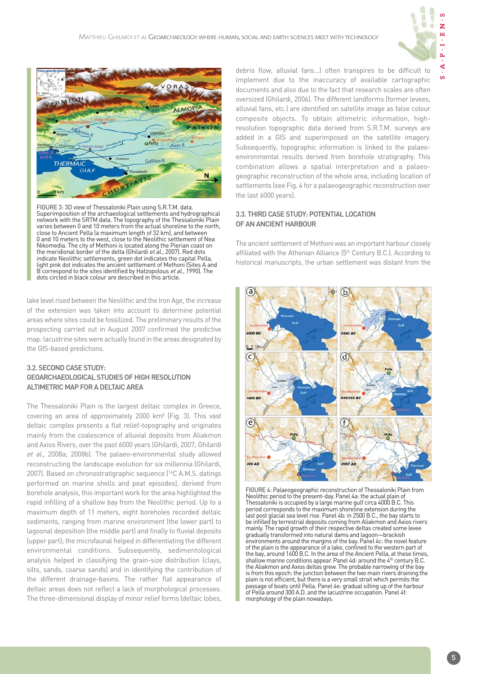

 $\mathbf{S}$ 



FIGURE 3: 3D view of Thessaloniki Plain using S.R.T.M. data. Superimposition of the archaeological settlements and hydrographical network with the SRTM data. The topography of the Thessaloniki Plain varies between 0 and 10 meters from the actual shoreline to the north, close to Ancient Pella (a maximum length of 32 km), and between 0 and 10 meters to the west, close to the Neolithic settlement of Nea Nikomedia. The city of Methoni is located along the Pierian coast on the meridional border of the delta (Ghilardi et al., 2007). Red dots indicate Neolithic settlements, green dot indicates the capital Pella, light pink dot indicates the ancient settlement of Methoni (Sites A and B correspond to the sites identified by Hatzopolous et al., 1990). The dots circled in black colour are described in this article.

lake level rised between the Neolithic and the Iron Age, the increase of the extension was taken into account to determine potential areas where sites could be fossilized. The preliminary results of the prospecting carried out in August 2007 confirmed the predictive map: lacustrine sites were actually found in the areas designated by the GIS-based predictions.

#### 3.2. SECOND CASE STUDY: GEOARCHAEOLOGICAL STUDIES OF HIGH RESOLUTION ALTIMETRIC MAP FOR A DELTAIC AREA

The Thessaloniki Plain is the largest deltaic complex in Greece, covering an area of approximately 2000 km² (Fig. 3). This vast deltaic complex presents a flat relief-topography and originates mainly from the coalescence of alluvial deposits from Aliakmon and Axios Rivers, over the past 6000 years (Ghilardi, 2007; Ghilardi et al., 2008a; 2008b). The palaeo-environmental study allowed reconstructing the landscape evolution for six millennia (Ghilardi, 2007). Based on chronostratigraphic sequence (14C A.M.S. datings performed on marine shells and peat episodes), derived from borehole analysis, this important work for the area highlighted the rapid infilling of a shallow bay from the Neolithic period. Up to a maximum depth of 11 meters, eight boreholes recorded deltaic sediments, ranging from marine environment (the lower part) to lagoonal deposition (the middle part) and finally to fluvial deposits (upper part); the microfaunal helped in differentiating the different environmental conditions. Subsequently, sedimentological analysis helped in classifying the grain-size distribution (clays, silts, sands, coarse sands) and in identifying the contribution of the different drainage-basins. The rather flat appearance of deltaic areas does not reflect a lack of morphological processes. The three-dimensional display of minor relief forms (deltaic lobes, debris flow, alluvial fans…) often transpires to be difficult to implement due to the inaccuracy of available cartographic documents and also due to the fact that research scales are often oversized (Ghilardi, 2006). The different landforms (former levees, alluvial fans, etc.) are identified on satellite image as false colour composite objects. To obtain altimetric information, highresolution topographic data derived from S.R.T.M. surveys are added in a GIS and superimposed on the satellite imagery. Subsequently, topographic information is linked to the palaeoenvironmental results derived from borehole stratigraphy. This combination allows a spatial interpretation and a palaeo geographic reconstruction of the whole area, including location of settlements (see Fig. 4 for a palaeogeographic reconstruction over the last 6000 years).

#### 3.3. THIRD CASE STUDY: POTENTIAL LOCATION OF AN ANCIENT HARBOUR

The ancient settlement of Methoni was an important harbour closely affiliated with the Athenian Alliance (5<sup>th</sup> Century B.C.). According to historical manuscripts, the urban settlement was distant from the



FIGURE 4: Palaeogeographic reconstruction of Thessaloniki Plain from Neolithic period to the present-day. Panel 4a: the actual plain of Thessaloniki is occupied by a large marine gulf circa 4000 B.C. This period corresponds to the maximum shoreline extension during the last post glacial sea level rise. Panel 4b: in 2500 B.C., the bay starts to be infilled by terrestrial deposits coming from Aliakmon and Axios rivers mainly. The rapid growth of their respective deltas created some levee gradually transformed into natural dams and lagoon—brackish environments around the margins of the bay. Panel 4c: the novel feature of the plain is the appearance of a lake, confined to the western part of the bay, around 1600 B.C. In the area of the Ancient Pella, at these times, shallow marine conditions appear. Panel 4d: around the 4th century B.C. the Aliakmon and Axios deltas grew. The probable narrowing of the bay is from this epoch: the junction between the two main rivers draining the plain is not efficient, but there is a very small strait which permits the passage of boats until Pella. Panel 4e: gradual silting up of the harbour of Pella around 300 A.D. and the lacustrine occupation. Panel 4f: morphology of the plain nowadays.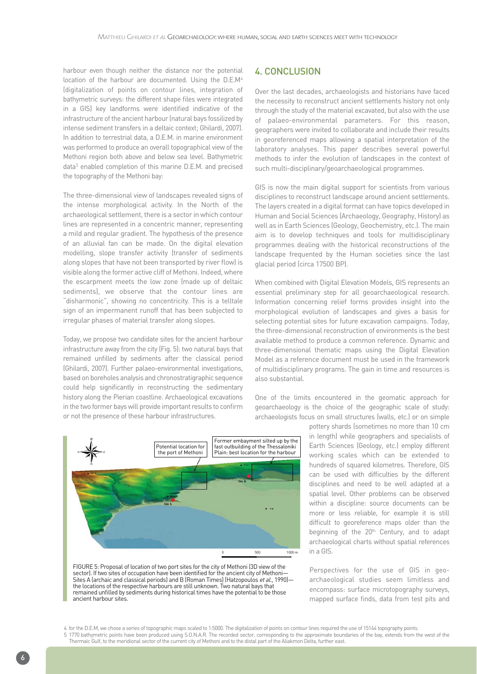harbour even though neither the distance nor the potential location of the harbour are documented. Using the D.E.M4 (digitalization of points on contour lines, integration of bathymetric surveys: the different shape files were integrated in a GIS) key landforms were identified indicative of the infrastructure of the ancient harbour (natural bays fossilized by intense sediment transfers in a deltaic context; Ghilardi, 2007). In addition to terrestrial data, a D.E.M. in marine environment was performed to produce an overall topographical view of the Methoni region both above and below sea level. Bathymetric data<sup>5</sup> enabled completion of this marine D.E.M. and precised the topography of the Methoni bay:

The three-dimensional view of landscapes revealed signs of the intense morphological activity. In the North of the archaeological settlement, there is a sector in which contour lines are represented in a concentric manner, representing a mild and regular gradient. The hypothesis of the presence of an alluvial fan can be made. On the digital elevation modelling, slope transfer activity (transfer of sediments along slopes that have not been transported by river flow) is visible along the former active cliff of Methoni. Indeed, where the escarpment meets the low zone (made up of deltaic sediments), we observe that the contour lines are "disharmonic", showing no concentricity. This is a telltale sign of an impermanent runoff that has been subjected to irregular phases of material transfer along slopes.

Today, we propose two candidate sites for the ancient harbour infrastructure away from the city (Fig. 5): two natural bays that remained unfilled by sediments after the classical period (Ghilardi, 2007). Further palaeo-environmental investigations, based on boreholes analysis and chronostratigraphic sequence could help significantly in reconstructing the sedimentary history along the Pierian coastline. Archaeological excavations in the two former bays will provide important results to confirm or not the presence of these harbour infrastructures.

### 4. CONCLUSION

Over the last decades, archaeologists and historians have faced the necessity to reconstruct ancient settlements history not only through the study of the material excavated, but also with the use of palaeo-environmental parameters. For this reason, geographers were invited to collaborate and include their results in georeferenced maps allowing a spatial interpretation of the laboratory analyses. This paper describes several powerful methods to infer the evolution of landscapes in the context of such multi-disciplinary/geoarchaeological programmes.

GIS is now the main digital support for scientists from various disciplines to reconstruct landscape around ancient settlements. The layers created in a digital format can have topics developed in Human and Social Sciences (Archaeology, Geography, History) as well as in Earth Sciences (Geology, Geochemistry, etc.). The main aim is to develop techniques and tools for multidisciplinary programmes dealing with the historical reconstructions of the landscape frequented by the Human societies since the last glacial period (circa 17500 BP).

When combined with Digital Elevation Models, GIS represents an essential preliminary step for all geoarchaeological research. Information concerning relief forms provides insight into the morphological evolution of landscapes and gives a basis for selecting potential sites for future excavation campaigns. Today, the three-dimensional reconstruction of environments is the best available method to produce a common reference. Dynamic and three-dimensional thematic maps using the Digital Elevation Model as a reference document must be used in the framework of multidisciplinary programs. The gain in time and resources is also substantial.

One of the limits encountered in the geomatic approach for geoarchaeology is the choice of the geographic scale of study: archaeologists focus on small structures (walls, etc.) or on simple

> pottery shards (sometimes no more than 10 cm in length) while geographers and specialists of Earth Sciences (Geology, etc.) employ different working scales which can be extended to hundreds of squared kilometres. Therefore, GIS can be used with difficulties by the different disciplines and need to be well adapted at a spatial level. Other problems can be observed within a discipline: source documents can be more or less reliable, for example it is still difficult to georeference maps older than the beginning of the 20<sup>th</sup> Century, and to adapt archaeological charts without spatial references in a GIS.

> Perspectives for the use of GIS in geoarchaeological studies seem limitless and encompass: surface microtopography surveys, mapped surface finds, data from test pits and

FIGURE 5: Proposal of location of two port sites for the city of Methoni (3D view of the sector). If two sites of occupation have been identified for the ancient city of Methoni— Sites A (archaic and classical periods) and B (Roman Times) (Hatzopoulos et al., 1990) the locations of the respective harbours are still unknown. Two natural bays that remained unfilled by sediments during historical times have the potential to be those ancient harbour sites.

Potential location for the port of Methoni Former embayment silted up by the fast outbuilding of the Thessaloniki Plain: best location for the harbour  $1000 m$ 

<sup>4</sup> for the D.E.M, we chose a series of topographic maps scaled to 1:5000. The digitalization of points on contour lines required the use of 15144 topography points.

<sup>5 1770</sup> bathymetric points have been produced using S.O.N.A.R. The recorded sector, corresponding to the approximate boundaries of the bay, extends from the west of the Thermaic Gulf, to the meridional sector of the current city of Methoni and to the distal part of the Aliakmon Delta, further east.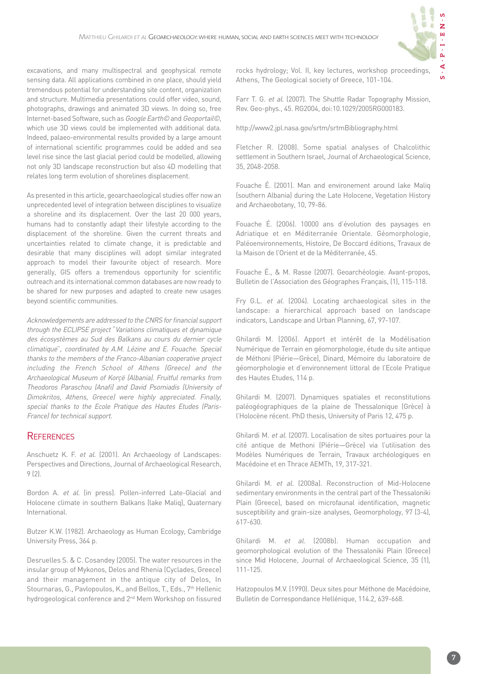

excavations, and many multispectral and geophysical remote sensing data. All applications combined in one place, should yield tremendous potential for understanding site content, organization and structure. Multimedia presentations could offer video, sound, photographs, drawings and animated 3D views. In doing so, free Internet-based Software, such as Google Earth© and Geoportail©, which use 3D views could be implemented with additional data. Indeed, palaeo-environmental results provided by a large amount of international scientific programmes could be added and sea level rise since the last glacial period could be modelled, allowing not only 3D landscape reconstruction but also 4D modelling that relates long term evolution of shorelines displacement.

As presented in this article, geoarchaeological studies offer now an unprecedented level of integration between disciplines to visualize a shoreline and its displacement. Over the last 20 000 years, humans had to constantly adapt their lifestyle according to the displacement of the shoreline. Given the current threats and uncertainties related to climate change, it is predictable and desirable that many disciplines will adopt similar integrated approach to model their favourite object of research. More generally, GIS offers a tremendous opportunity for scientific outreach and its international common databases are now ready to be shared for new purposes and adapted to create new usages beyond scientific communities.

Acknowledgements are addressed to the CNRS for financial support through the ECLIPSE project "Variations climatiques et dynamique des écosystèmes au Sud des Balkans au cours du dernier cycle climatique", coordinated by A.M. Lézine and E. Fouache. Special thanks to the members of the Franco-Albanian cooperative project including the French School of Athens (Greece) and the Archaeological Museum of Korçë (Albania). Fruitful remarks from Theodoros Paraschou (Anafi) and David Psomiadis (University of Dimokritos, Athens, Greece) were highly appreciated. Finally, special thanks to the Ecole Pratique des Hautes Etudes (Paris-France) for technical support.

#### **REFERENCES**

Anschuetz K. F. et al. (2001). An Archaeology of Landscapes: Perspectives and Directions, Journal of Archaeological Research, 9 (2).

Bordon A. et al. (in press). Pollen-inferred Late-Glacial and Holocene climate in southern Balkans (lake Maliq), Quaternary International.

Butzer K.W. (1982). Archaeology as Human Ecology, Cambridge University Press, 364 p.

Desruelles S. & C. Cosandey (2005). The water resources in the insular group of Mykonos, Delos and Rhenia (Cyclades, Greece) and their management in the antique city of Delos, In Stournaras, G., Pavlopoulos, K., and Bellos, T., Eds., 7<sup>th</sup> Hellenic hydrogeological conference and 2<sup>nd</sup> Mem Workshop on fissured rocks hydrology; Vol. II, key lectures, workshop proceedings, Athens, The Geological society of Greece, 101-104.

Farr T. G. et al. (2007). The Shuttle Radar Topography Mission, Rev. Geo-phys., 45. RG2004, doi:10.1029/2005RG000183.

http://www2.jpl.nasa.gov/srtm/srtmBibliography.html

Fletcher R. (2008). Some spatial analyses of Chalcolithic settlement in Southern Israel, Journal of Archaeological Science, 35, 2048-2058.

Fouache É. (2001). Man and environement around lake Maliq (southern Albania) during the Late Holocene, Vegetation History and Archaeobotany, 10, 79-86.

Fouache É. (2006). 10000 ans d'évolution des paysages en Adriatique et en Méditerranée Orientale. Géomorphologie, Paléoenvironnements, Histoire, De Boccard éditions, Travaux de la Maison de l'Orient et de la Méditerranée, 45.

Fouache É., & M. Rasse (2007). Geoarchéologie. Avant-propos, Bulletin de l'Association des Géographes Français, (1), 115-118.

Fry G.L. et al. (2004). Locating archaeological sites in the landscape: a hierarchical approach based on landscape indicators, Landscape and Urban Planning, 67, 97-107.

Ghilardi M. (2006). Apport et intérêt de la Modélisation Numérique de Terrain en géomorphologie, étude du site antique de Méthoni (Piérie—Grèce), Dinard, Mémoire du laboratoire de géomorphologie et d'environnement littoral de l'Ecole Pratique des Hautes Etudes, 114 p.

Ghilardi M. (2007). Dynamiques spatiales et reconstitutions paléogéographiques de la plaine de Thessalonique (Grèce) à l'Holocène récent. PhD thesis, University of Paris 12, 475 p.

Ghilardi M. et al. (2007). Localisation de sites portuaires pour la cité antique de Methoni (Piérie—Grèce) via l'utilisation des Modèles Numériques de Terrain, Travaux archéologiques en Macédoine et en Thrace AEMTh, 19, 317-321.

Ghilardi M. et al. (2008a). Reconstruction of Mid-Holocene sedimentary environments in the central part of the Thessaloniki Plain (Greece), based on microfaunal identification, magnetic susceptibility and grain-size analyses, Geomorphology, 97 (3-4), 617-630.

Ghilardi M. et al. (2008b). Human occupation and geomorphological evolution of the Thessaloniki Plain (Greece) since Mid Holocene, Journal of Archaeological Science, 35 (1), 111-125.

Hatzopoulos M.V. (1990). Deux sites pour Méthone de Macédoine, Bulletin de Correspondance Hellénique, 114.2, 639-668.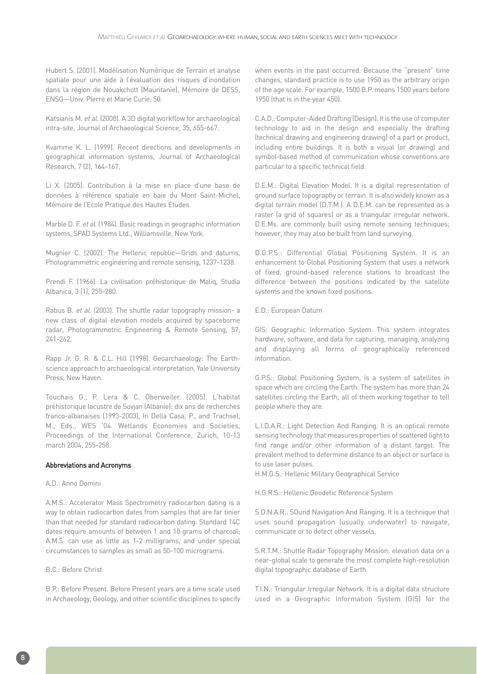Hubert S. (2001). Modélisation Numérique de Terrain et analyse spatiale pour une aide à l'évaluation des risques d'inondation dans la région de Nouakchott (Mauritanie), Mémoire de DESS, ENSG—Univ. Pierre et Marie Curie, 50.

Katsianis M. et al. (2008). A 3D digital workflow for archaeological intra-site, Journal of Archaeological Science, 35, 655-667.

Kvamme K. L. (1999). Recent directions and developments in geographical information systems, Journal of Archaeological Research, 7 (2), 164-167.

Li X. (2005). Contribution à la mise en place d'une base de données à référence spatiale en baie du Mont Saint-Michel, Mémoire de l'Ecole Pratique des Hautes Etudes.

Marble D. F. et al. (1984). Basic readings in geographic information systems, SPAD Systems Ltd., Williamsville, New York.

Mugnier C. (2002). The Hellenic republic—Grids and datums, Photogrammetric engineering and remote sensing, 1237-1238.

Prendi F. (1966). La civilisation préhistorique de Maliq, Studia Albanica, 3 (1), 255-280.

Rabus B. et al. (2003). The shuttle radar topography mission- a new class of digital elevation models acquired by spaceborne radar, Photogrammetric Engineering & Remote Sensing, 57, 241-262.

Rapp Jr. G. R. & C.L. Hill (1998). Geoarchaeology: The Earthscience approach to archaeological interpretation, Yale University Press, New Haven.

Touchais G., P. Lera & C. Oberweiler. (2005). L'habitat préhistorique lacustre de Sovjan (Albanie): dix ans de recherches franco-albanaises (1993-2003), In Della Casa, P., and Trachsel, M., Eds., WES '04. Wetlands Economies and Societies, Proceedings of the International Conference, Zurich, 10-13 march 2004, 255-258.

#### Abbreviations and Acronyms

#### A.D.: Anno Domini

A.M.S.: Accelerator Mass Spectrometry radiocarbon dating is a way to obtain radiocarbon dates from samples that are far tinier than that needed for standard radiocarbon dating. Standard 14C dates require amounts of between 1 and 10 grams of charcoal; A.M.S. can use as little as 1-2 milligrams, and under special circumstances to samples as small as 50-100 micrograms.

#### B.C.: Before Christ

B.P.: Before Present. Before Present years are a time scale used in Archaeology, Geology, and other scientific disciplines to specify when events in the past occurred. Because the "present" time changes, standard practice is to use 1950 as the arbitrary origin of the age scale. For example, 1500 B.P. means 1500 years before 1950 (that is in the year 450).

C.A.D.: Computer-Aided Drafting (Design). It is the use of computer technology to aid in the design and especially the drafting (technical drawing and engineering drawing) of a part or product, including entire buildings. It is both a visual (or drawing) and symbol-based method of communication whose conventions are particular to a specific technical field.

D.E.M.: Digital Elevation Model. It is a digital representation of ground surface topography or terrain. It is also widely known as a digital terrain model (D.T.M.). A D.E.M. can be represented as a raster (a grid of squares) or as a triangular irregular network. D.E.Ms. are commonly built using remote sensing techniques; however, they may also be built from land surveying.

D.G.P.S.: Differential Global Positioning System. It is an enhancement to Global Positioning System that uses a network of fixed, ground-based reference stations to broadcast the difference between the positions indicated by the satellite systems and the known fixed positions.

E.D.: European Datum

GIS: Geographic Information System. This system integrates hardware, software, and data for capturing, managing, analyzing and displaying all forms of geographically referenced information.

G.P.S.: Global Positioning System, is a system of satellites in space which are circling the Earth. The system has more than 24 satellites circling the Earth, all of them working together to tell people where they are.

L.I.D.A.R.: Light Detection And Ranging. It is an optical remote sensing technology that measures properties of scattered light to find range and/or other information of a distant target. The prevalent method to determine distance to an object or surface is to use laser pulses.

H.M.G.S.: Hellenic Military Geographical Service

H.G.R.S.: Hellenic Geodetic Reference System

S.O.N.A.R.: SOund Navigation And Ranging. It is a technique that uses sound propagation (usually underwater) to navigate, communicate or to detect other vessels.

S.R.T.M.: Shuttle Radar Topography Mission: elevation data on a near-global scale to generate the most complete high-resolution digital topographic database of Earth.

T.I.N.: Triangular Irregular Network. It is a digital data structure used in a Geographic Information System (GIS) for the